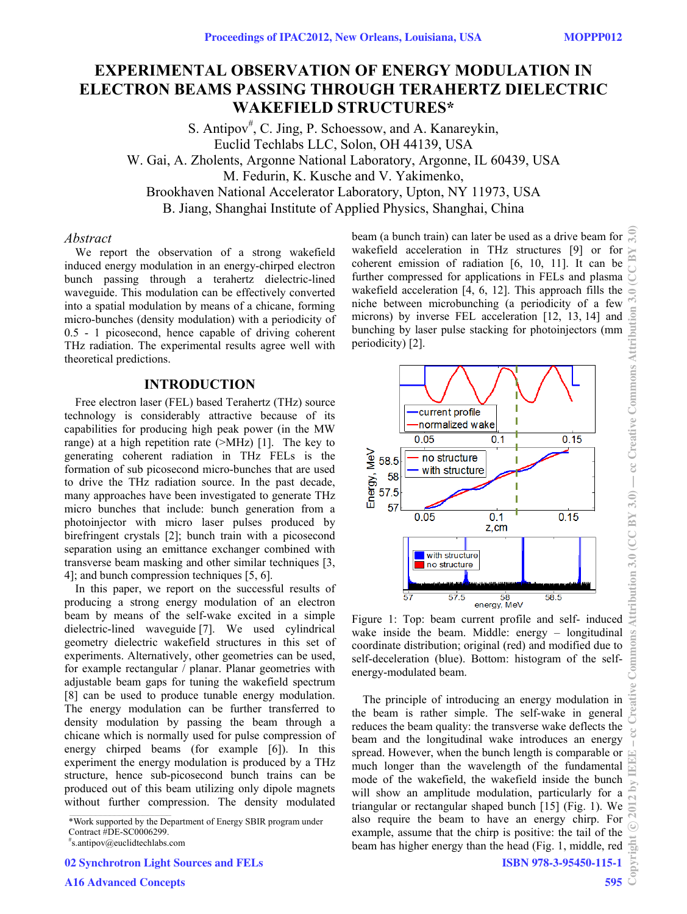# **EXPERIMENTAL OBSERVATION OF ENERGY MODULATION IN ELECTRON BEAMS PASSING THROUGH TERAHERTZ DIELECTRIC WAKEFIELD STRUCTURES\***

S. Antipov<sup>#</sup>, C. Jing, P. Schoessow, and A. Kanareykin, Euclid Techlabs LLC, Solon, OH 44139, USA W. Gai, A. Zholents, Argonne National Laboratory, Argonne, IL 60439, USA M. Fedurin, K. Kusche and V. Yakimenko, Brookhaven National Accelerator Laboratory, Upton, NY 11973, USA B. Jiang, Shanghai Institute of Applied Physics, Shanghai, China

#### *Abstract*

We report the observation of a strong wakefield induced energy modulation in an energy-chirped electron bunch passing through a terahertz dielectric-lined waveguide. This modulation can be effectively converted into a spatial modulation by means of a chicane, forming micro-bunches (density modulation) with a periodicity of 0.5 - 1 picosecond, hence capable of driving coherent THz radiation. The experimental results agree well with theoretical predictions.

## **INTRODUCTION**

Free electron laser (FEL) based Terahertz (THz) source technology is considerably attractive because of its capabilities for producing high peak power (in the MW range) at a high repetition rate (>MHz) [1]. The key to generating coherent radiation in THz FELs is the formation of sub picosecond micro-bunches that are used to drive the THz radiation source. In the past decade, many approaches have been investigated to generate THz micro bunches that include: bunch generation from a photoinjector with micro laser pulses produced by birefringent crystals [2]; bunch train with a picosecond separation using an emittance exchanger combined with transverse beam masking and other similar techniques [3, 4]; and bunch compression techniques [5, 6].

In this paper, we report on the successful results of producing a strong energy modulation of an electron beam by means of the self-wake excited in a simple dielectric-lined waveguide [7]. We used cylindrical geometry dielectric wakefield structures in this set of experiments. Alternatively, other geometries can be used, for example rectangular / planar. Planar geometries with adjustable beam gaps for tuning the wakefield spectrum [8] can be used to produce tunable energy modulation. The energy modulation can be further transferred to density modulation by passing the beam through a chicane which is normally used for pulse compression of energy chirped beams (for example [6]). In this experiment the energy modulation is produced by a THz structure, hence sub-picosecond bunch trains can be produced out of this beam utilizing only dipole magnets without further compression. The density modulated

\*Work supported by the Department of Energy SBIR program under Contract #DE-SC0006299.

02 Synchrotron Light Sources and FELs

beam (a bunch train) can later be used as a drive beam for wakefield acceleration in THz structures [9] or for coherent emission of radiation [6, 10, 11]. It can be further compressed for applications in FELs and plasma wakefield acceleration [4, 6, 12]. This approach fills the niche between microbunching (a periodicity of a few microns) by inverse FEL acceleration [12, 13, 14] and bunching by laser pulse stacking for photoinjectors (mm periodicity) [2].



Figure 1: Top: beam current profile and self- induced wake inside the beam. Middle: energy – longitudinal coordinate distribution; original (red) and modified due to self-deceleration (blue). Bottom: histogram of the selfenergy-modulated beam.

The principle of introducing an energy modulation in the beam is rather simple. The self-wake in general reduces the beam quality: the transverse wake deflects the beam and the longitudinal wake introduces an energy spread. However, when the bunch length is comparable or much longer than the wavelength of the fundamental mode of the wakefield, the wakefield inside the bunch will show an amplitude modulation, particularly for a triangular or rectangular shaped bunch [15] (Fig. 1). We also require the beam to have an energy chirp. For example, assume that the chirp is positive: the tail of the beam has higher energy than the head (Fig. 1, middle, red  $\frac{6}{15}$ <br>ISBN 978-3-95450-115-1<br>595

ISBN 978-3-95450-115-1

<sup>#</sup> s.antipov@euclidtechlabs.com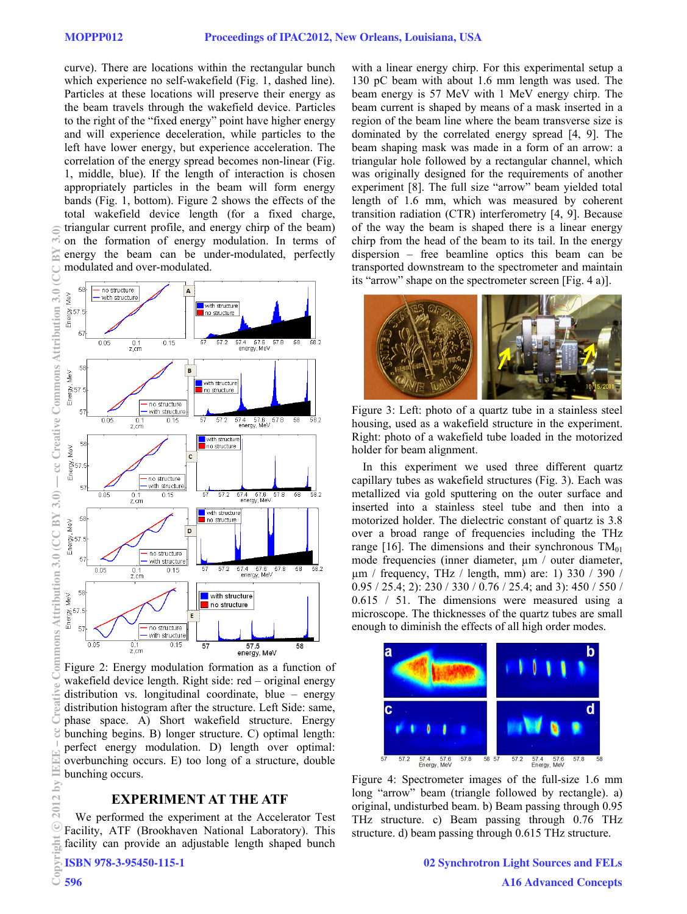curve). There are locations within the rectangular bunch which experience no self-wakefield (Fig. 1, dashed line). Particles at these locations will preserve their energy as the beam travels through the wakefield device. Particles to the right of the "fixed energy" point have higher energy and will experience deceleration, while particles to the left have lower energy, but experience acceleration. The correlation of the energy spread becomes non-linear (Fig. 1, middle, blue). If the length of interaction is chosen appropriately particles in the beam will form energy bands (Fig. 1, bottom). Figure 2 shows the effects of the total wakefield device length (for a fixed charge, triangular current profile, and energy chirp of the beam) on the formation of energy modulation. In terms of energy the beam can be under-modulated, perfectly modulated and over-modulated.



Figure 2: Energy modulation formation as a function of wakefield device length. Right side: red – original energy distribution vs. longitudinal coordinate, blue – energy distribution histogram after the structure. Left Side: same, phase space. A) Short wakefield structure. Energy bunching begins. B) longer structure. C) optimal length: perfect energy modulation. D) length over optimal: overbunching occurs. E) too long of a structure, double bunching occurs.

## **EXPERIMENT AT THE ATF**

We performed the experiment at the Accelerator Test Facility, ATF (Brookhaven National Laboratory). This facility can provide an adjustable length shaped bunch

ISBN 978-3-95450-115-1

with a linear energy chirp. For this experimental setup a 130 pC beam with about 1.6 mm length was used. The beam energy is 57 MeV with 1 MeV energy chirp. The beam current is shaped by means of a mask inserted in a region of the beam line where the beam transverse size is dominated by the correlated energy spread [4, 9]. The beam shaping mask was made in a form of an arrow: a triangular hole followed by a rectangular channel, which was originally designed for the requirements of another experiment [8]. The full size "arrow" beam yielded total length of 1.6 mm, which was measured by coherent transition radiation (CTR) interferometry [4, 9]. Because of the way the beam is shaped there is a linear energy chirp from the head of the beam to its tail. In the energy dispersion – free beamline optics this beam can be transported downstream to the spectrometer and maintain its "arrow" shape on the spectrometer screen [Fig. 4 a)].



Figure 3: Left: photo of a quartz tube in a stainless steel housing, used as a wakefield structure in the experiment. Right: photo of a wakefield tube loaded in the motorized holder for beam alignment.

In this experiment we used three different quartz capillary tubes as wakefield structures (Fig. 3). Each was metallized via gold sputtering on the outer surface and inserted into a stainless steel tube and then into a motorized holder. The dielectric constant of quartz is 3.8 over a broad range of frequencies including the THz range [16]. The dimensions and their synchronous  $TM_{01}$ mode frequencies (inner diameter,  $\mu$ m / outer diameter, µm / frequency, THz / length, mm) are: 1) 330 / 390 / 0.95 / 25.4; 2): 230 / 330 / 0.76 / 25.4; and 3): 450 / 550 / 0.615 / 51. The dimensions were measured using a microscope. The thicknesses of the quartz tubes are small enough to diminish the effects of all high order modes.



Figure 4: Spectrometer images of the full-size 1.6 mm long "arrow" beam (triangle followed by rectangle). a) original, undisturbed beam. b) Beam passing through 0.95 THz structure. c) Beam passing through 0.76 THz structure. d) beam passing through 0.615 THz structure.

 $\in$